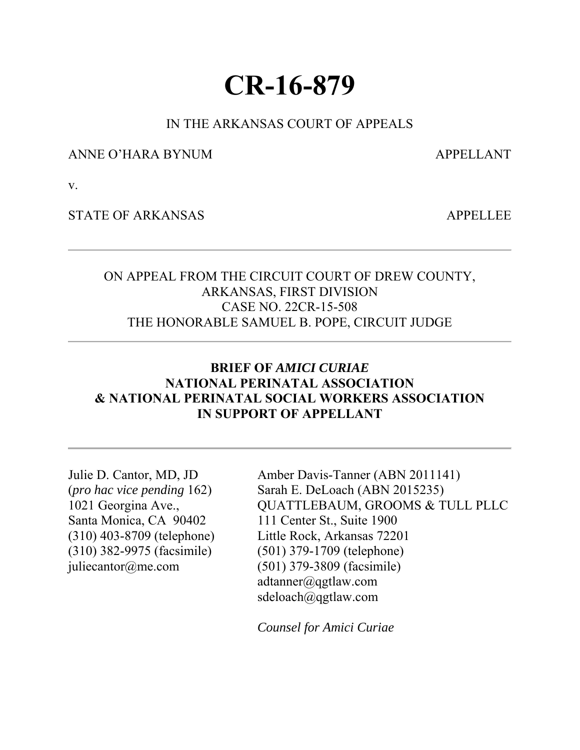# **CR-16-879**

### IN THE ARKANSAS COURT OF APPEALS

ANNE O'HARA BYNUM APPELLANT

v.

STATE OF ARKANSAS APPELLEE

# ON APPEAL FROM THE CIRCUIT COURT OF DREW COUNTY, ARKANSAS, FIRST DIVISION CASE NO. 22CR-15-508 THE HONORABLE SAMUEL B. POPE, CIRCUIT JUDGE

# **BRIEF OF** *AMICI CURIAE* **NATIONAL PERINATAL ASSOCIATION & NATIONAL PERINATAL SOCIAL WORKERS ASSOCIATION IN SUPPORT OF APPELLANT**

Julie D. Cantor, MD, JD (*pro hac vice pending* 162) 1021 Georgina Ave., Santa Monica, CA 90402 (310) 403-8709 (telephone) (310) 382-9975 (facsimile) juliecantor@me.com

Amber Davis-Tanner (ABN 2011141) Sarah E. DeLoach (ABN 2015235) QUATTLEBAUM, GROOMS & TULL PLLC 111 Center St., Suite 1900 Little Rock, Arkansas 72201 (501) 379-1709 (telephone) (501) 379-3809 (facsimile) adtanner@qgtlaw.com sdeloach@qgtlaw.com

*Counsel for Amici Curiae*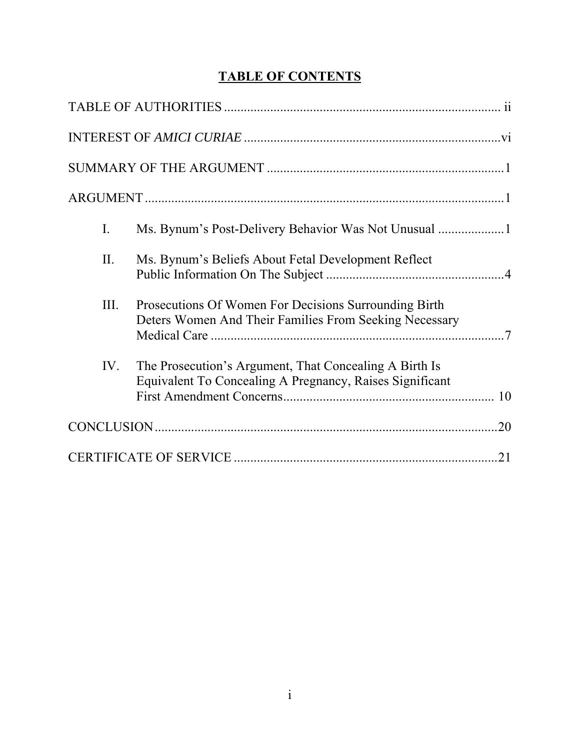# **TABLE OF CONTENTS**

| Ms. Bynum's Post-Delivery Behavior Was Not Unusual<br>Ι.                                                                  |
|---------------------------------------------------------------------------------------------------------------------------|
| II.<br>Ms. Bynum's Beliefs About Fetal Development Reflect                                                                |
| III.<br>Prosecutions Of Women For Decisions Surrounding Birth<br>Deters Women And Their Families From Seeking Necessary   |
| IV.<br>The Prosecution's Argument, That Concealing A Birth Is<br>Equivalent To Concealing A Pregnancy, Raises Significant |
|                                                                                                                           |
| .21                                                                                                                       |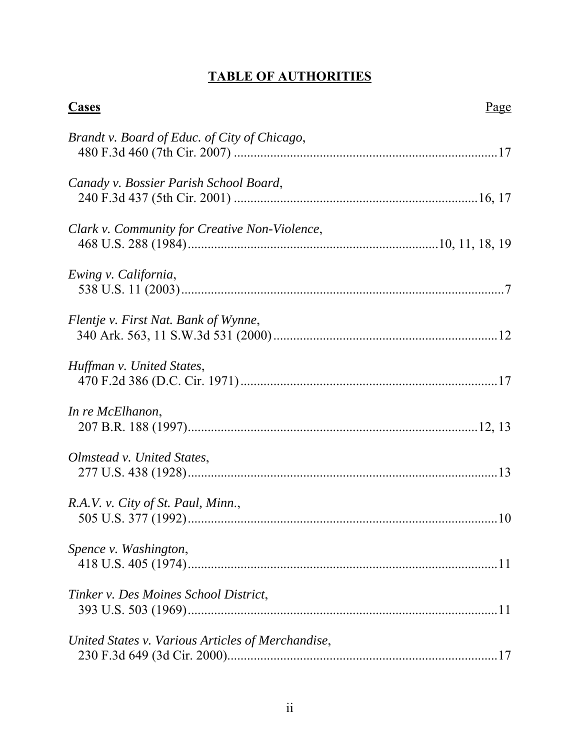# **TABLE OF AUTHORITIES**

<span id="page-2-0"></span>

| <b>Cases</b>                                      | Page |
|---------------------------------------------------|------|
| Brandt v. Board of Educ. of City of Chicago,      |      |
| Canady v. Bossier Parish School Board,            |      |
| Clark v. Community for Creative Non-Violence,     |      |
| Ewing v. California,                              |      |
| Flentje v. First Nat. Bank of Wynne,              |      |
| Huffman v. United States,                         |      |
| In re McElhanon,                                  |      |
| Olmstead v. United States,                        |      |
| R.A.V. v. City of St. Paul, Minn.,                |      |
| Spence v. Washington,                             |      |
| Tinker v. Des Moines School District,             |      |
| United States v. Various Articles of Merchandise, |      |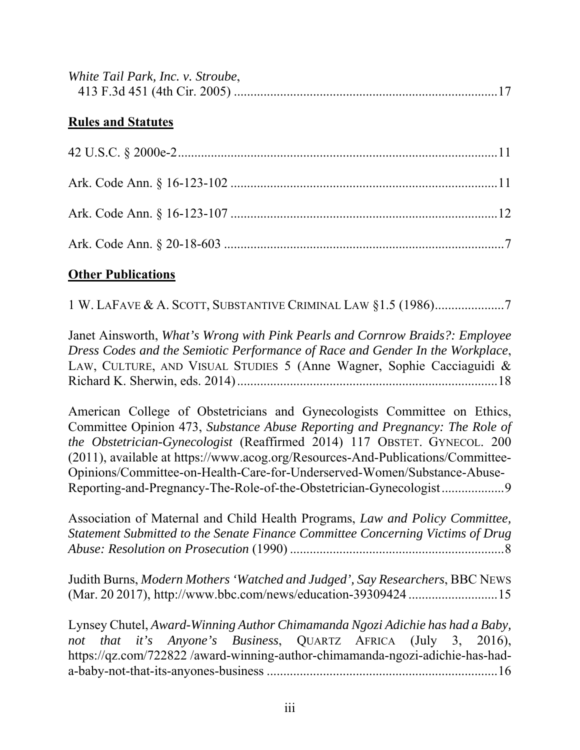| White Tail Park, Inc. v. Stroube, |  |
|-----------------------------------|--|
|                                   |  |

# **Rules and Statutes**

# **Other Publications**

|  |  |  |  | 1 W. LAFAVE & A. SCOTT, SUBSTANTIVE CRIMINAL LAW §1.5 (1986)7 |
|--|--|--|--|---------------------------------------------------------------|
|  |  |  |  |                                                               |

Janet Ainsworth, *What's Wrong with Pink Pearls and Cornrow Braids?: Employee Dress Codes and the Semiotic Performance of Race and Gender In the Workplace*, LAW, CULTURE, AND VISUAL STUDIES 5 (Anne Wagner, Sophie Cacciaguidi & Richard K. Sherwin, eds. 2014) ............................................................................... 18

American College of Obstetricians and Gynecologists Committee on Ethics, Committee Opinion 473, *Substance Abuse Reporting and Pregnancy: The Role of the Obstetrician-Gynecologist* (Reaffirmed 2014) 117 OBSTET. GYNECOL. 200 (2011), available at https://www.acog.org/Resources-And-Publications/Committee-Opinions/Committee-on-Health-Care-for-Underserved-Women/Substance-Abuse-Reporting-and-Pregnancy-The-Role-of-the-Obstetrician-Gynecologist ................... 9

Association of Maternal and Child Health Programs, *Law and Policy Committee, Statement Submitted to the Senate Finance Committee Concerning Victims of Drug Abuse: Resolution on Prosecution* (1990) ................................................................. 8

Judith Burns, *Modern Mothers 'Watched and Judged', Say Researchers*, BBC NEWS (Mar. 20 2017), http://www.bbc.com/news/education-39309424 ........................... 15

Lynsey Chutel, *Award-Winning Author Chimamanda Ngozi Adichie has had a Baby, not that it's Anyone's Business*, QUARTZ AFRICA (July 3, 2016), https://qz.com/722822 /award-winning-author-chimamanda-ngozi-adichie-has-hada-baby-not-that-its-anyones-business ...................................................................... 16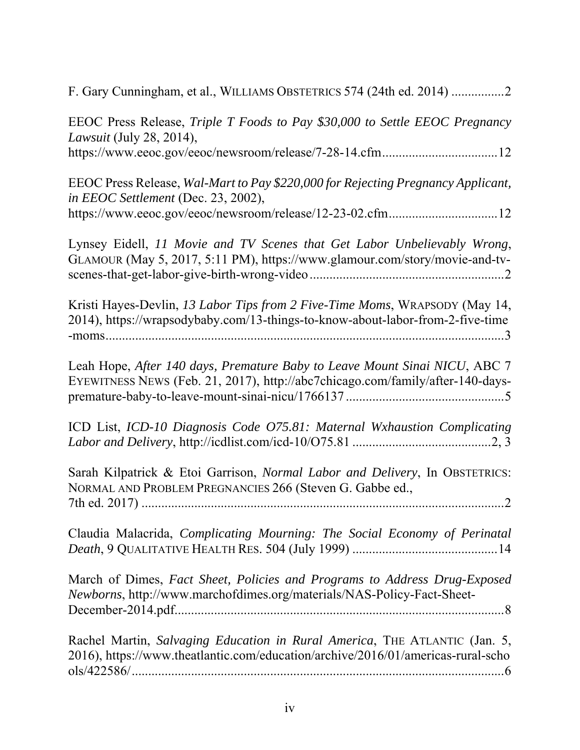| F. Gary Cunningham, et al., WILLIAMS OBSTETRICS 574 (24th ed. 2014)                                                                                                                  |
|--------------------------------------------------------------------------------------------------------------------------------------------------------------------------------------|
| EEOC Press Release, Triple T Foods to Pay \$30,000 to Settle EEOC Pregnancy<br><i>Lawsuit</i> (July 28, 2014),<br>https://www.eeoc.gov/eeoc/newsroom/release/7-28-14.cfm12           |
| EEOC Press Release, Wal-Mart to Pay \$220,000 for Rejecting Pregnancy Applicant,<br>in EEOC Settlement (Dec. 23, 2002),<br>https://www.eeoc.gov/eeoc/newsroom/release/12-23-02.cfm12 |
| Lynsey Eidell, 11 Movie and TV Scenes that Get Labor Unbelievably Wrong,<br>GLAMOUR (May 5, 2017, 5:11 PM), https://www.glamour.com/story/movie-and-tv-                              |
| Kristi Hayes-Devlin, 13 Labor Tips from 2 Five-Time Moms, WRAPSODY (May 14,<br>2014), https://wrapsodybaby.com/13-things-to-know-about-labor-from-2-five-time                        |
| Leah Hope, After 140 days, Premature Baby to Leave Mount Sinai NICU, ABC 7<br>EYEWITNESS NEWS (Feb. 21, 2017), http://abc7chicago.com/family/after-140-days-                         |
| ICD List, ICD-10 Diagnosis Code 075.81: Maternal Wxhaustion Complicating                                                                                                             |
| Sarah Kilpatrick & Etoi Garrison, Normal Labor and Delivery, In OBSTETRICS:<br>NORMAL AND PROBLEM PREGNANCIES 266 (Steven G. Gabbe ed.,                                              |
| Claudia Malacrida, Complicating Mourning: The Social Economy of Perinatal                                                                                                            |
| March of Dimes, Fact Sheet, Policies and Programs to Address Drug-Exposed<br>Newborns, http://www.marchofdimes.org/materials/NAS-Policy-Fact-Sheet-                                  |
| Rachel Martin, Salvaging Education in Rural America, THE ATLANTIC (Jan. 5,<br>2016), https://www.theatlantic.com/education/archive/2016/01/americas-rural-scho                       |
|                                                                                                                                                                                      |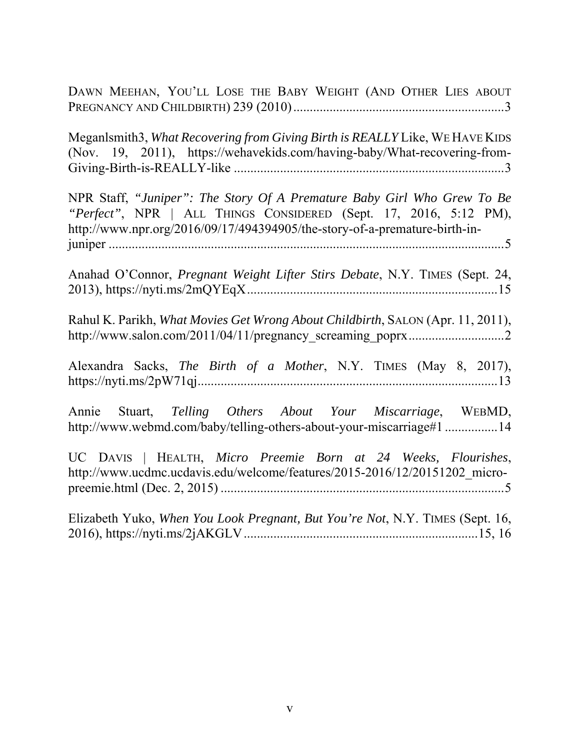DAWN MEEHAN, YOU'LL LOSE THE BABY WEIGHT (AND OTHER LIES ABOUT PREGNANCY AND CHILDBIRTH) 239 (2010) ................................................................ 3

Meganlsmith3, *What Recovering from Giving Birth is REALLY* Like, WE HAVE KIDS (Nov. 19, 2011), https://wehavekids.com/having-baby/What-recovering-from-Giving-Birth-is-REALLY-like .................................................................................. 3

NPR Staff, *"Juniper": The Story Of A Premature Baby Girl Who Grew To Be "Perfect"*, NPR | ALL THINGS CONSIDERED (Sept. 17, 2016, 5:12 PM), http://www.npr.org/2016/09/17/494394905/the-story-of-a-premature-birth-injuniper ........................................................................................................................ 5

Anahad O'Connor, *Pregnant Weight Lifter Stirs Debate*, N.Y. TIMES (Sept. 24, 2013), https://nyti.ms/2mQYEqX ............................................................................ 15

Rahul K. Parikh, *What Movies Get Wrong About Childbirth*, SALON (Apr. 11, 2011), http://www.salon.com/2011/04/11/pregnancy\_screaming\_poprx ............................. 2

Alexandra Sacks, *The Birth of a Mother*, N.Y. TIMES (May 8, 2017), https://nyti.ms/2pW71qj ........................................................................................... 13

Annie Stuart, *Telling Others About Your Miscarriage*, WEBMD, http://www.webmd.com/baby/telling-others-about-your-miscarriage#1 ................ 14

UC DAVIS | HEALTH, *Micro Preemie Born at 24 Weeks, Flourishes*, http://www.ucdmc.ucdavis.edu/welcome/features/2015-2016/12/20151202 micropreemie.html (Dec. 2, 2015) ...................................................................................... 5

Elizabeth Yuko, *When You Look Pregnant, But You're Not*, N.Y. TIMES (Sept. 16, 2016), https://nyti.ms/2jAKGLV ....................................................................... 15, 16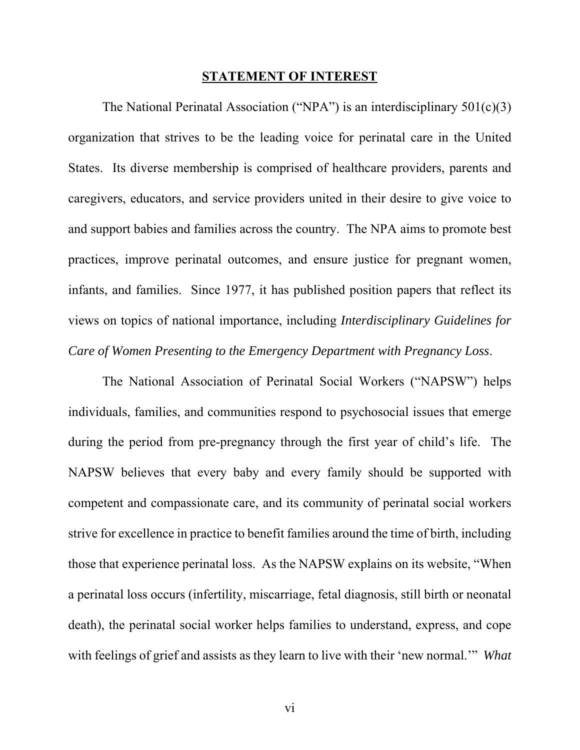#### **STATEMENT OF INTEREST**

<span id="page-6-0"></span>The National Perinatal Association ("NPA") is an interdisciplinary  $501(c)(3)$ organization that strives to be the leading voice for perinatal care in the United States. Its diverse membership is comprised of healthcare providers, parents and caregivers, educators, and service providers united in their desire to give voice to and support babies and families across the country. The NPA aims to promote best practices, improve perinatal outcomes, and ensure justice for pregnant women, infants, and families. Since 1977, it has published position papers that reflect its views on topics of national importance, including *Interdisciplinary Guidelines for Care of Women Presenting to the Emergency Department with Pregnancy Loss*.

 The National Association of Perinatal Social Workers ("NAPSW") helps individuals, families, and communities respond to psychosocial issues that emerge during the period from pre-pregnancy through the first year of child's life. The NAPSW believes that every baby and every family should be supported with competent and compassionate care, and its community of perinatal social workers strive for excellence in practice to benefit families around the time of birth, including those that experience perinatal loss. As the NAPSW explains on its website, "When a perinatal loss occurs (infertility, miscarriage, fetal diagnosis, still birth or neonatal death), the perinatal social worker helps families to understand, express, and cope with feelings of grief and assists as they learn to live with their 'new normal.'" *What*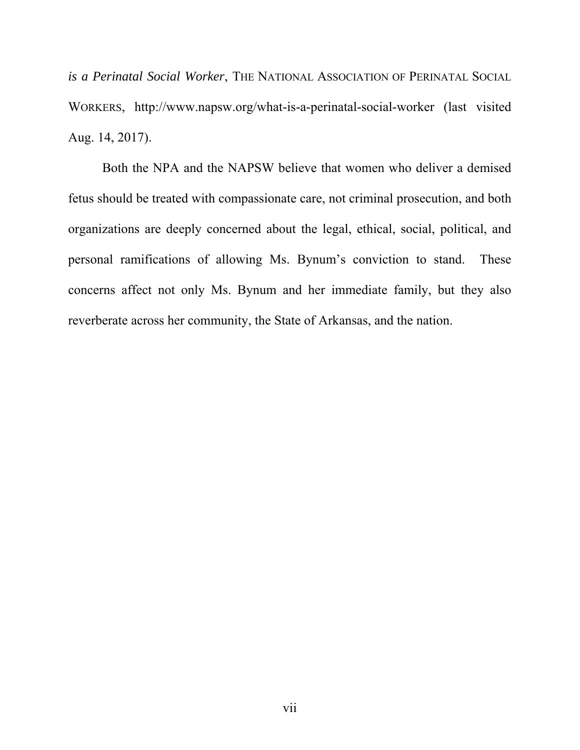*is a Perinatal Social Worker*, THE NATIONAL ASSOCIATION OF PERINATAL SOCIAL WORKERS, http://www.napsw.org/what-is-a-perinatal-social-worker (last visited Aug. 14, 2017).

Both the NPA and the NAPSW believe that women who deliver a demised fetus should be treated with compassionate care, not criminal prosecution, and both organizations are deeply concerned about the legal, ethical, social, political, and personal ramifications of allowing Ms. Bynum's conviction to stand. These concerns affect not only Ms. Bynum and her immediate family, but they also reverberate across her community, the State of Arkansas, and the nation.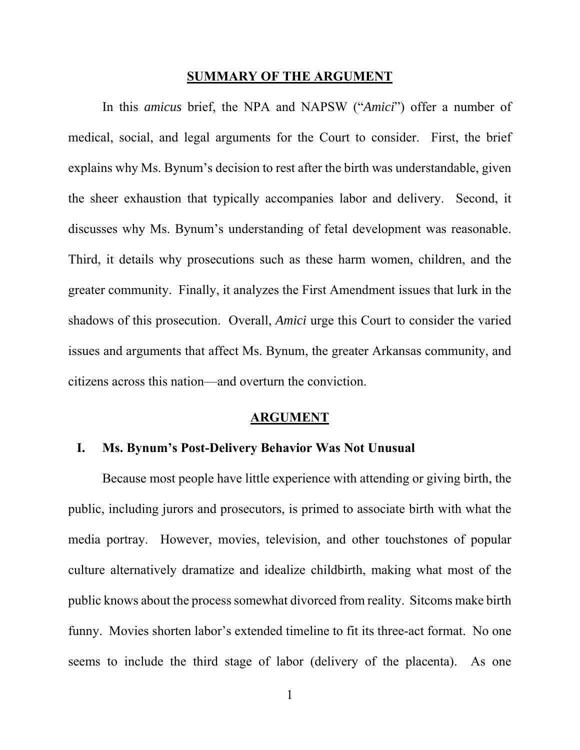#### **SUMMARY OF THE ARGUMENT**

<span id="page-8-0"></span>In this *amicus* brief, the NPA and NAPSW ("*Amici*") offer a number of medical, social, and legal arguments for the Court to consider. First, the brief explains why Ms. Bynum's decision to rest after the birth was understandable, given the sheer exhaustion that typically accompanies labor and delivery. Second, it discusses why Ms. Bynum's understanding of fetal development was reasonable. Third, it details why prosecutions such as these harm women, children, and the greater community. Finally, it analyzes the First Amendment issues that lurk in the shadows of this prosecution. Overall, *Amici* urge this Court to consider the varied issues and arguments that affect Ms. Bynum, the greater Arkansas community, and citizens across this nation—and overturn the conviction.

#### **ARGUMENT**

#### **I. Ms. Bynum's Post-Delivery Behavior Was Not Unusual**

Because most people have little experience with attending or giving birth, the public, including jurors and prosecutors, is primed to associate birth with what the media portray. However, movies, television, and other touchstones of popular culture alternatively dramatize and idealize childbirth, making what most of the public knows about the process somewhat divorced from reality. Sitcoms make birth funny. Movies shorten labor's extended timeline to fit its three-act format. No one seems to include the third stage of labor (delivery of the placenta). As one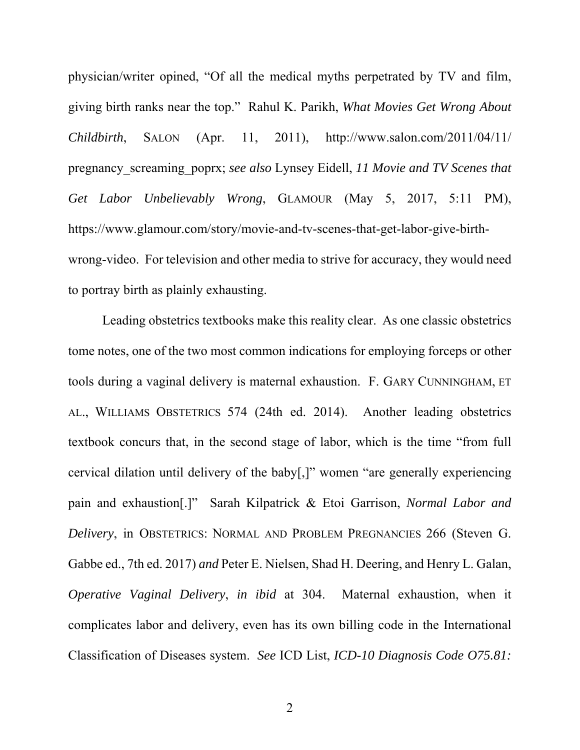physician/writer opined, "Of all the medical myths perpetrated by TV and film, giving birth ranks near the top." Rahul K. Parikh, *What Movies Get Wrong About Childbirth*, SALON (Apr. 11, 2011), http://www.salon.com/2011/04/11/ pregnancy\_screaming\_poprx; *see also* Lynsey Eidell, *11 Movie and TV Scenes that Get Labor Unbelievably Wrong*, GLAMOUR (May 5, 2017, 5:11 PM), https://www.glamour.com/story/movie-and-tv-scenes-that-get-labor-give-birthwrong-video. For television and other media to strive for accuracy, they would need to portray birth as plainly exhausting.

Leading obstetrics textbooks make this reality clear. As one classic obstetrics tome notes, one of the two most common indications for employing forceps or other tools during a vaginal delivery is maternal exhaustion. F. GARY CUNNINGHAM, ET AL., WILLIAMS OBSTETRICS 574 (24th ed. 2014). Another leading obstetrics textbook concurs that, in the second stage of labor, which is the time "from full cervical dilation until delivery of the baby[,]" women "are generally experiencing pain and exhaustion[.]" Sarah Kilpatrick & Etoi Garrison, *Normal Labor and Delivery*, in OBSTETRICS: NORMAL AND PROBLEM PREGNANCIES 266 (Steven G. Gabbe ed., 7th ed. 2017) *and* Peter E. Nielsen, Shad H. Deering, and Henry L. Galan, *Operative Vaginal Delivery*, *in ibid* at 304. Maternal exhaustion, when it complicates labor and delivery, even has its own billing code in the International Classification of Diseases system. *See* ICD List, *ICD-10 Diagnosis Code O75.81:*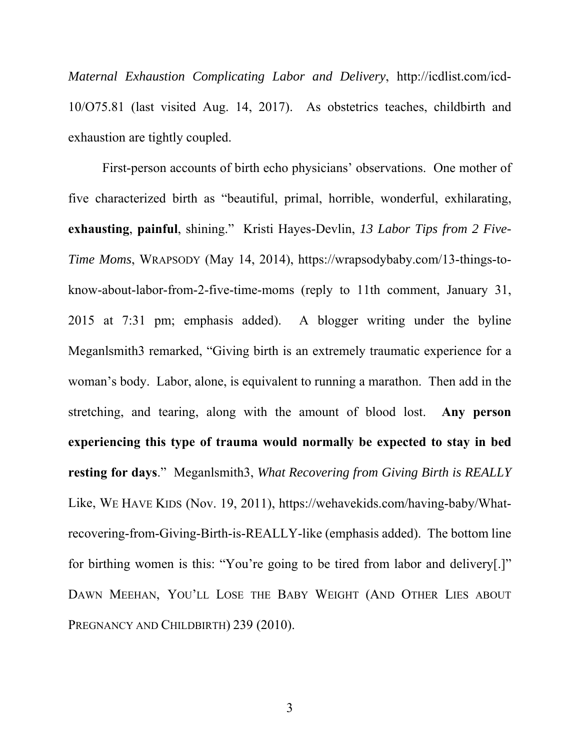*Maternal Exhaustion Complicating Labor and Delivery*, http://icdlist.com/icd-10/O75.81 (last visited Aug. 14, 2017). As obstetrics teaches, childbirth and exhaustion are tightly coupled.

First-person accounts of birth echo physicians' observations. One mother of five characterized birth as "beautiful, primal, horrible, wonderful, exhilarating, **exhausting**, **painful**, shining." Kristi Hayes-Devlin, *13 Labor Tips from 2 Five-Time Moms*, WRAPSODY (May 14, 2014), https://wrapsodybaby.com/13-things-toknow-about-labor-from-2-five-time-moms (reply to 11th comment, January 31, 2015 at 7:31 pm; emphasis added). A blogger writing under the byline Meganlsmith3 remarked, "Giving birth is an extremely traumatic experience for a woman's body. Labor, alone, is equivalent to running a marathon. Then add in the stretching, and tearing, along with the amount of blood lost. **Any person experiencing this type of trauma would normally be expected to stay in bed resting for days**." Meganlsmith3, *What Recovering from Giving Birth is REALLY*  Like, WE HAVE KIDS (Nov. 19, 2011), https://wehavekids.com/having-baby/Whatrecovering-from-Giving-Birth-is-REALLY-like (emphasis added). The bottom line for birthing women is this: "You're going to be tired from labor and delivery[.]" DAWN MEEHAN, YOU'LL LOSE THE BABY WEIGHT (AND OTHER LIES ABOUT PREGNANCY AND CHILDBIRTH) 239 (2010).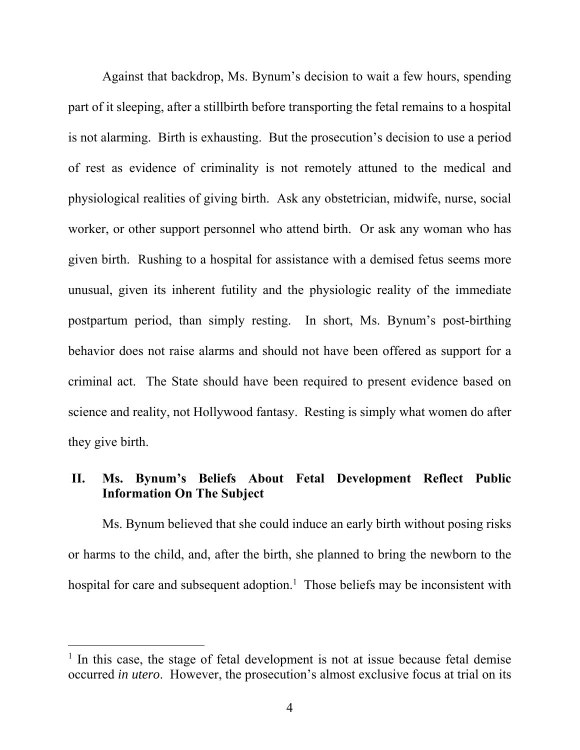<span id="page-11-0"></span> Against that backdrop, Ms. Bynum's decision to wait a few hours, spending part of it sleeping, after a stillbirth before transporting the fetal remains to a hospital is not alarming. Birth is exhausting. But the prosecution's decision to use a period of rest as evidence of criminality is not remotely attuned to the medical and physiological realities of giving birth. Ask any obstetrician, midwife, nurse, social worker, or other support personnel who attend birth. Or ask any woman who has given birth. Rushing to a hospital for assistance with a demised fetus seems more unusual, given its inherent futility and the physiologic reality of the immediate postpartum period, than simply resting. In short, Ms. Bynum's post-birthing behavior does not raise alarms and should not have been offered as support for a criminal act. The State should have been required to present evidence based on science and reality, not Hollywood fantasy. Resting is simply what women do after they give birth.

# **II. Ms. Bynum's Beliefs About Fetal Development Reflect Public Information On The Subject**

Ms. Bynum believed that she could induce an early birth without posing risks or harms to the child, and, after the birth, she planned to bring the newborn to the hospital for care and subsequent adoption.<sup>1</sup> Those beliefs may be inconsistent with

<sup>&</sup>lt;sup>1</sup> In this case, the stage of fetal development is not at issue because fetal demise occurred *in utero*. However, the prosecution's almost exclusive focus at trial on its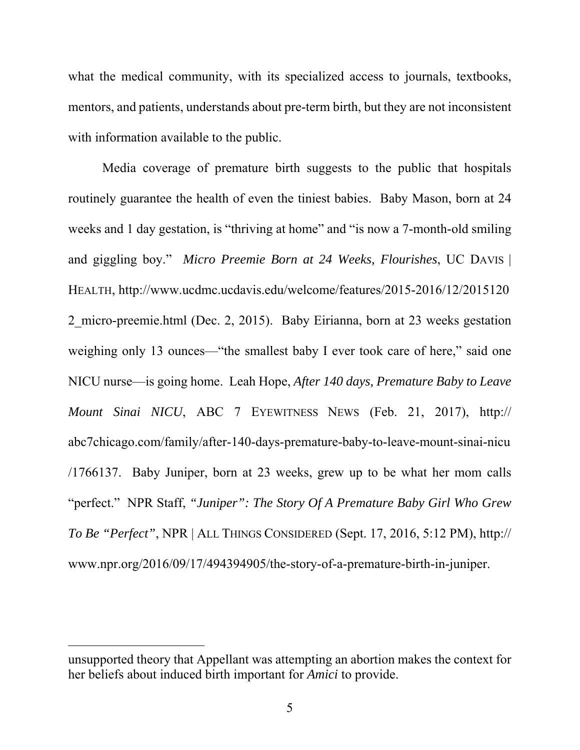what the medical community, with its specialized access to journals, textbooks, mentors, and patients, understands about pre-term birth, but they are not inconsistent with information available to the public.

Media coverage of premature birth suggests to the public that hospitals routinely guarantee the health of even the tiniest babies. Baby Mason, born at 24 weeks and 1 day gestation, is "thriving at home" and "is now a 7-month-old smiling and giggling boy." *Micro Preemie Born at 24 Weeks, Flourishes*, UC DAVIS | HEALTH, http://www.ucdmc.ucdavis.edu/welcome/features/2015-2016/12/2015120 2\_micro-preemie.html (Dec. 2, 2015). Baby Eirianna, born at 23 weeks gestation weighing only 13 ounces—"the smallest baby I ever took care of here," said one NICU nurse—is going home. Leah Hope, *After 140 days, Premature Baby to Leave Mount Sinai NICU*, ABC 7 EYEWITNESS NEWS (Feb. 21, 2017), http:// abc7chicago.com/family/after-140-days-premature-baby-to-leave-mount-sinai-nicu /1766137. Baby Juniper, born at 23 weeks, grew up to be what her mom calls "perfect." NPR Staff, *"Juniper": The Story Of A Premature Baby Girl Who Grew To Be "Perfect"*, NPR | ALL THINGS CONSIDERED (Sept. 17, 2016, 5:12 PM), http:// www.npr.org/2016/09/17/494394905/the-story-of-a-premature-birth-in-juniper.

unsupported theory that Appellant was attempting an abortion makes the context for her beliefs about induced birth important for *Amici* to provide.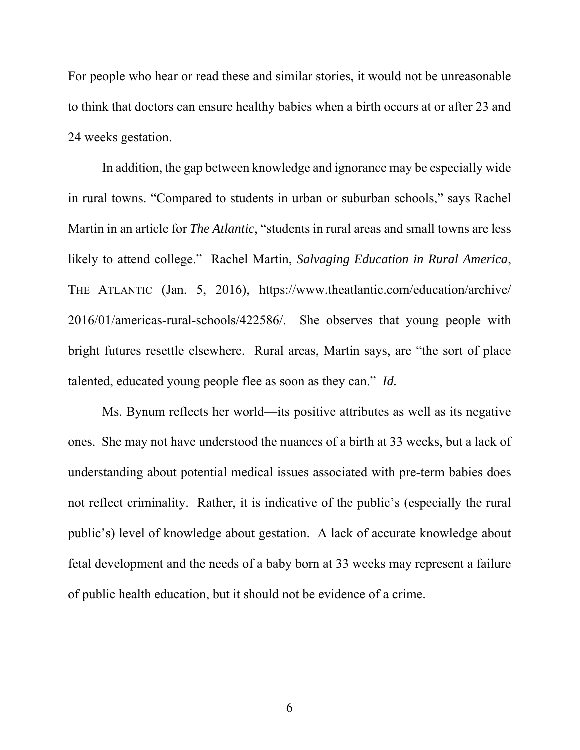For people who hear or read these and similar stories, it would not be unreasonable to think that doctors can ensure healthy babies when a birth occurs at or after 23 and 24 weeks gestation.

In addition, the gap between knowledge and ignorance may be especially wide in rural towns. "Compared to students in urban or suburban schools," says Rachel Martin in an article for *The Atlantic*, "students in rural areas and small towns are less likely to attend college." Rachel Martin, *Salvaging Education in Rural America*, THE ATLANTIC (Jan. 5, 2016), https://www.theatlantic.com/education/archive/ 2016/01/americas-rural-schools/422586/. She observes that young people with bright futures resettle elsewhere. Rural areas, Martin says, are "the sort of place talented, educated young people flee as soon as they can." *Id.*

Ms. Bynum reflects her world—its positive attributes as well as its negative ones. She may not have understood the nuances of a birth at 33 weeks, but a lack of understanding about potential medical issues associated with pre-term babies does not reflect criminality. Rather, it is indicative of the public's (especially the rural public's) level of knowledge about gestation. A lack of accurate knowledge about fetal development and the needs of a baby born at 33 weeks may represent a failure of public health education, but it should not be evidence of a crime.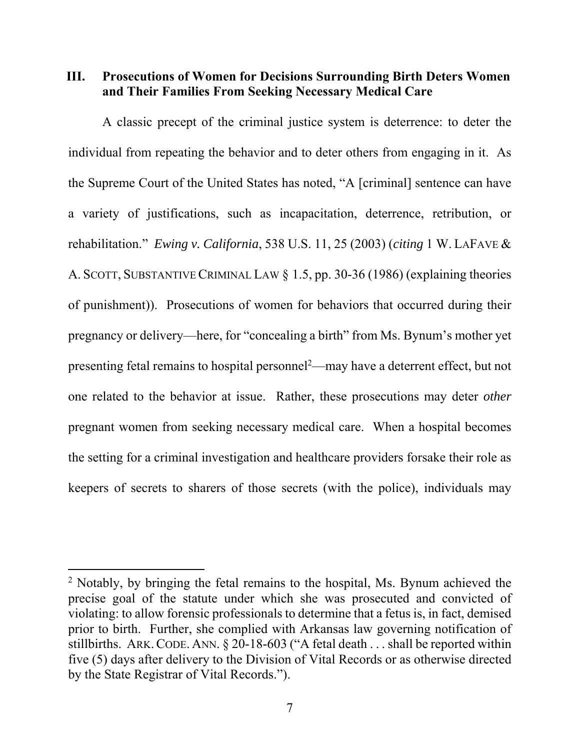<span id="page-14-0"></span>**III. Prosecutions of Women for Decisions Surrounding Birth Deters Women and Their Families From Seeking Necessary Medical Care** 

A classic precept of the criminal justice system is deterrence: to deter the individual from repeating the behavior and to deter others from engaging in it. As the Supreme Court of the United States has noted, "A [criminal] sentence can have a variety of justifications, such as incapacitation, deterrence, retribution, or rehabilitation." *Ewing v. California*, 538 U.S. 11, 25 (2003) (*citing* 1 W. LAFAVE & A. SCOTT, SUBSTANTIVE CRIMINAL LAW § 1.5, pp. 30-36 (1986) (explaining theories of punishment)). Prosecutions of women for behaviors that occurred during their pregnancy or delivery—here, for "concealing a birth" from Ms. Bynum's mother yet presenting fetal remains to hospital personnel<sup>2</sup>—may have a deterrent effect, but not one related to the behavior at issue. Rather, these prosecutions may deter *other* pregnant women from seeking necessary medical care. When a hospital becomes the setting for a criminal investigation and healthcare providers forsake their role as keepers of secrets to sharers of those secrets (with the police), individuals may

<sup>&</sup>lt;sup>2</sup> Notably, by bringing the fetal remains to the hospital, Ms. Bynum achieved the precise goal of the statute under which she was prosecuted and convicted of violating: to allow forensic professionals to determine that a fetus is, in fact, demised prior to birth. Further, she complied with Arkansas law governing notification of stillbirths. ARK. CODE. ANN.  $\S 20$ -18-603 ("A fetal death . . . shall be reported within five (5) days after delivery to the Division of Vital Records or as otherwise directed by the State Registrar of Vital Records.").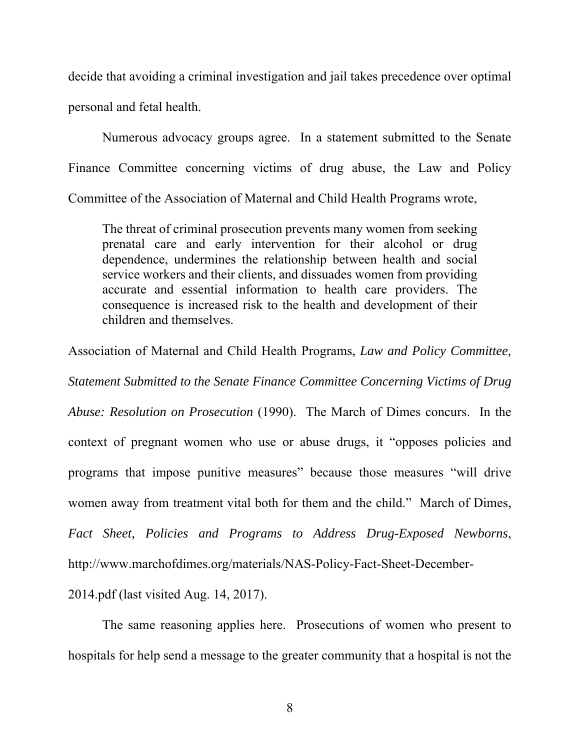decide that avoiding a criminal investigation and jail takes precedence over optimal personal and fetal health.

Numerous advocacy groups agree. In a statement submitted to the Senate Finance Committee concerning victims of drug abuse, the Law and Policy Committee of the Association of Maternal and Child Health Programs wrote,

The threat of criminal prosecution prevents many women from seeking prenatal care and early intervention for their alcohol or drug dependence, undermines the relationship between health and social service workers and their clients, and dissuades women from providing accurate and essential information to health care providers. The consequence is increased risk to the health and development of their children and themselves.

Association of Maternal and Child Health Programs, *Law and Policy Committee, Statement Submitted to the Senate Finance Committee Concerning Victims of Drug Abuse: Resolution on Prosecution* (1990). The March of Dimes concurs. In the context of pregnant women who use or abuse drugs, it "opposes policies and programs that impose punitive measures" because those measures "will drive women away from treatment vital both for them and the child." March of Dimes, *Fact Sheet, Policies and Programs to Address Drug-Exposed Newborns*, http://www.marchofdimes.org/materials/NAS-Policy-Fact-Sheet-December-2014.pdf (last visited Aug. 14, 2017).

The same reasoning applies here. Prosecutions of women who present to hospitals for help send a message to the greater community that a hospital is not the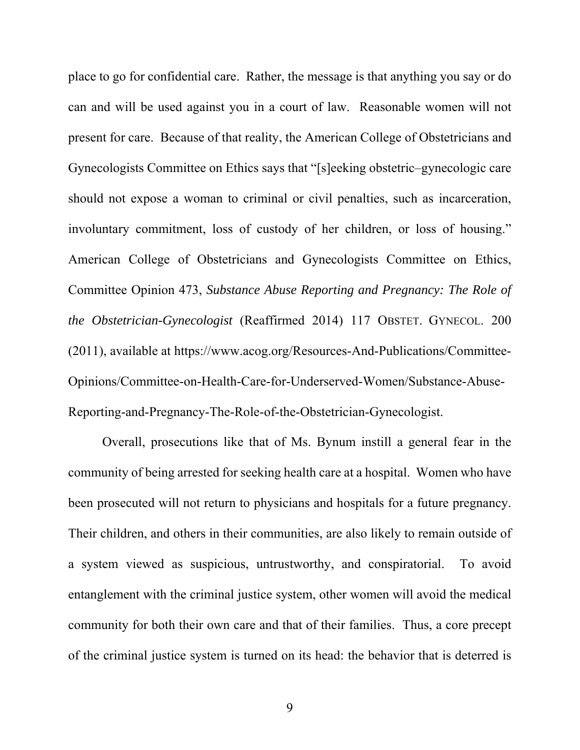place to go for confidential care. Rather, the message is that anything you say or do can and will be used against you in a court of law. Reasonable women will not present for care. Because of that reality, the American College of Obstetricians and Gynecologists Committee on Ethics says that "[s]eeking obstetric–gynecologic care should not expose a woman to criminal or civil penalties, such as incarceration, involuntary commitment, loss of custody of her children, or loss of housing." American College of Obstetricians and Gynecologists Committee on Ethics, Committee Opinion 473, *Substance Abuse Reporting and Pregnancy: The Role of the Obstetrician-Gynecologist* (Reaffirmed 2014) 117 OBSTET. GYNECOL. 200 (2011), available at https://www.acog.org/Resources-And-Publications/Committee-Opinions/Committee-on-Health-Care-for-Underserved-Women/Substance-Abuse-Reporting-and-Pregnancy-The-Role-of-the-Obstetrician-Gynecologist.

 Overall, prosecutions like that of Ms. Bynum instill a general fear in the community of being arrested for seeking health care at a hospital. Women who have been prosecuted will not return to physicians and hospitals for a future pregnancy. Their children, and others in their communities, are also likely to remain outside of a system viewed as suspicious, untrustworthy, and conspiratorial. To avoid entanglement with the criminal justice system, other women will avoid the medical community for both their own care and that of their families. Thus, a core precept of the criminal justice system is turned on its head: the behavior that is deterred is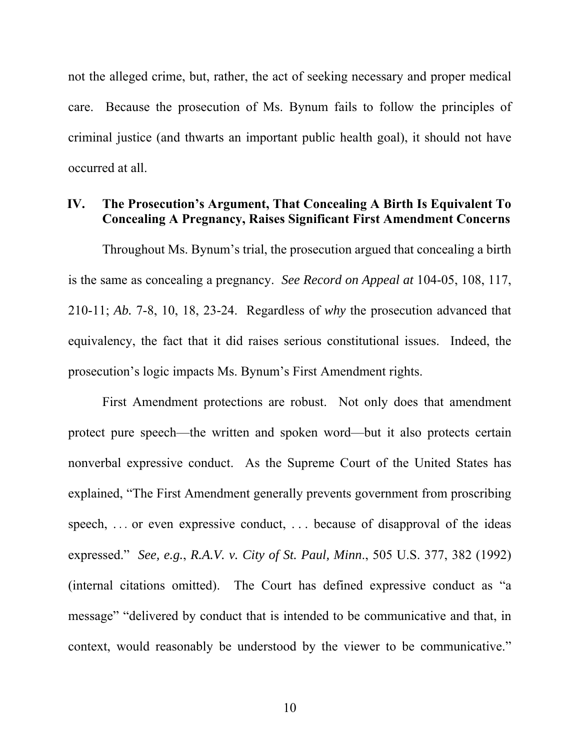<span id="page-17-0"></span>not the alleged crime, but, rather, the act of seeking necessary and proper medical care. Because the prosecution of Ms. Bynum fails to follow the principles of criminal justice (and thwarts an important public health goal), it should not have occurred at all.

## **IV. The Prosecution's Argument, That Concealing A Birth Is Equivalent To Concealing A Pregnancy, Raises Significant First Amendment Concerns**

 Throughout Ms. Bynum's trial, the prosecution argued that concealing a birth is the same as concealing a pregnancy. *See Record on Appeal at* 104-05, 108, 117, 210-11; *Ab.* 7-8, 10, 18, 23-24. Regardless of *why* the prosecution advanced that equivalency, the fact that it did raises serious constitutional issues. Indeed, the prosecution's logic impacts Ms. Bynum's First Amendment rights.

 First Amendment protections are robust. Not only does that amendment protect pure speech—the written and spoken word—but it also protects certain nonverbal expressive conduct. As the Supreme Court of the United States has explained, "The First Amendment generally prevents government from proscribing speech, ... or even expressive conduct, ... because of disapproval of the ideas expressed." *See, e.g.*, *R.A.V. v. City of St. Paul, Minn*., 505 U.S. 377, 382 (1992) (internal citations omitted). The Court has defined expressive conduct as "a message" "delivered by conduct that is intended to be communicative and that, in context, would reasonably be understood by the viewer to be communicative."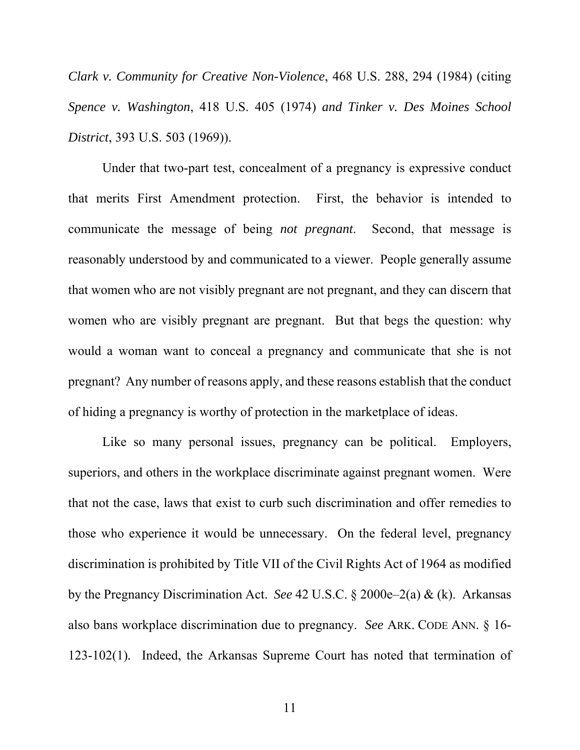*Clark v. Community for Creative Non-Violence*, 468 U.S. 288, 294 (1984) (citing *Spence v. Washington*, 418 U.S. 405 (1974) *and Tinker v. Des Moines School District*, 393 U.S. 503 (1969)).

 Under that two-part test, concealment of a pregnancy is expressive conduct that merits First Amendment protection. First, the behavior is intended to communicate the message of being *not pregnant*. Second, that message is reasonably understood by and communicated to a viewer. People generally assume that women who are not visibly pregnant are not pregnant, and they can discern that women who are visibly pregnant are pregnant. But that begs the question: why would a woman want to conceal a pregnancy and communicate that she is not pregnant? Any number of reasons apply, and these reasons establish that the conduct of hiding a pregnancy is worthy of protection in the marketplace of ideas.

Like so many personal issues, pregnancy can be political. Employers, superiors, and others in the workplace discriminate against pregnant women. Were that not the case, laws that exist to curb such discrimination and offer remedies to those who experience it would be unnecessary. On the federal level, pregnancy discrimination is prohibited by Title VII of the Civil Rights Act of 1964 as modified by the Pregnancy Discrimination Act. *See* 42 U.S.C. § 2000e–2(a) & (k). Arkansas also bans workplace discrimination due to pregnancy. *See* ARK. CODE ANN. § 16- 123-102(1)*.* Indeed, the Arkansas Supreme Court has noted that termination of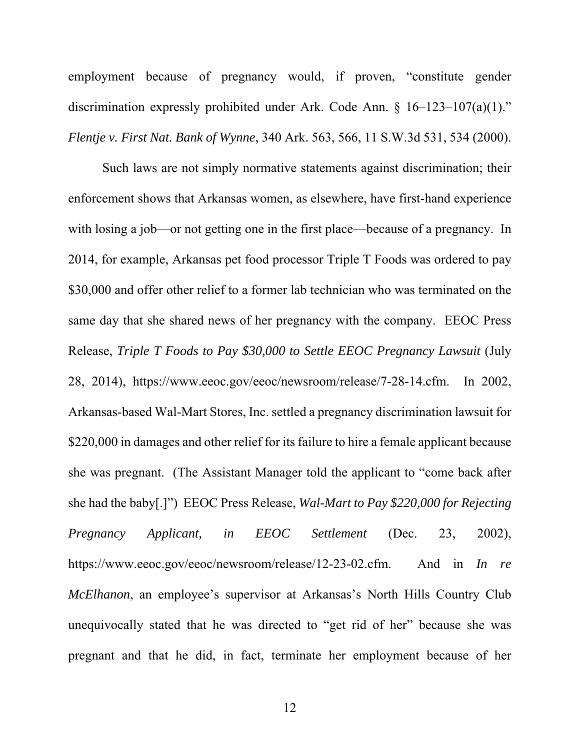employment because of pregnancy would, if proven, "constitute gender discrimination expressly prohibited under Ark. Code Ann. § 16–123–107(a)(1)." *Flentje v. First Nat. Bank of Wynne*, 340 Ark. 563, 566, 11 S.W.3d 531, 534 (2000).

Such laws are not simply normative statements against discrimination; their enforcement shows that Arkansas women, as elsewhere, have first-hand experience with losing a job—or not getting one in the first place—because of a pregnancy. In 2014, for example, Arkansas pet food processor Triple T Foods was ordered to pay \$30,000 and offer other relief to a former lab technician who was terminated on the same day that she shared news of her pregnancy with the company. EEOC Press Release, *Triple T Foods to Pay \$30,000 to Settle EEOC Pregnancy Lawsuit* (July 28, 2014), https://www.eeoc.gov/eeoc/newsroom/release/7-28-14.cfm. In 2002, Arkansas-based Wal-Mart Stores, Inc. settled a pregnancy discrimination lawsuit for \$220,000 in damages and other relief for its failure to hire a female applicant because she was pregnant. (The Assistant Manager told the applicant to "come back after she had the baby[.]") EEOC Press Release, *Wal-Mart to Pay \$220,000 for Rejecting Pregnancy Applicant, in EEOC Settlement* (Dec. 23, 2002), https://www.eeoc.gov/eeoc/newsroom/release/12-23-02.cfm. And in *In re McElhanon*, an employee's supervisor at Arkansas's North Hills Country Club unequivocally stated that he was directed to "get rid of her" because she was pregnant and that he did, in fact, terminate her employment because of her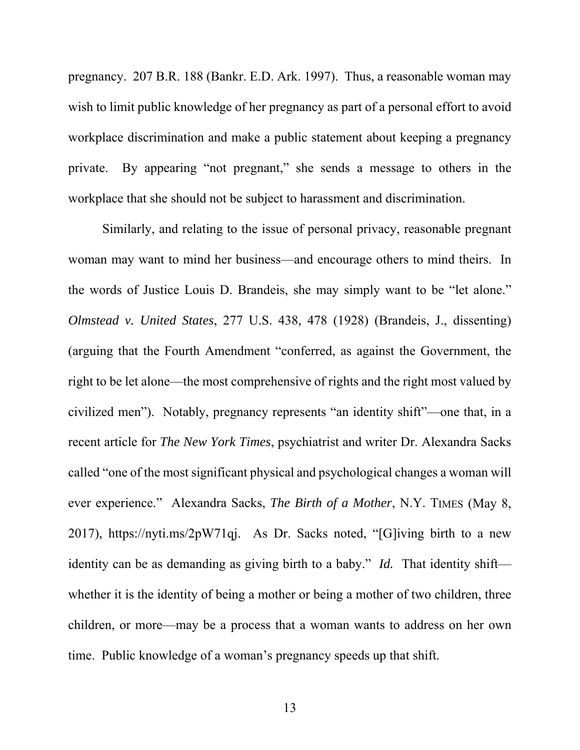pregnancy. 207 B.R. 188 (Bankr. E.D. Ark. 1997). Thus, a reasonable woman may wish to limit public knowledge of her pregnancy as part of a personal effort to avoid workplace discrimination and make a public statement about keeping a pregnancy private. By appearing "not pregnant," she sends a message to others in the workplace that she should not be subject to harassment and discrimination.

 Similarly, and relating to the issue of personal privacy, reasonable pregnant woman may want to mind her business—and encourage others to mind theirs. In the words of Justice Louis D. Brandeis, she may simply want to be "let alone." *Olmstead v. United States*, 277 U.S. 438, 478 (1928) (Brandeis, J., dissenting) (arguing that the Fourth Amendment "conferred, as against the Government, the right to be let alone—the most comprehensive of rights and the right most valued by civilized men"). Notably, pregnancy represents "an identity shift"—one that, in a recent article for *The New York Times*, psychiatrist and writer Dr. Alexandra Sacks called "one of the most significant physical and psychological changes a woman will ever experience." Alexandra Sacks, *The Birth of a Mother*, N.Y. TIMES (May 8, 2017), https://nyti.ms/2pW71qj. As Dr. Sacks noted, "[G]iving birth to a new identity can be as demanding as giving birth to a baby." *Id.* That identity shift whether it is the identity of being a mother or being a mother of two children, three children, or more—may be a process that a woman wants to address on her own time. Public knowledge of a woman's pregnancy speeds up that shift.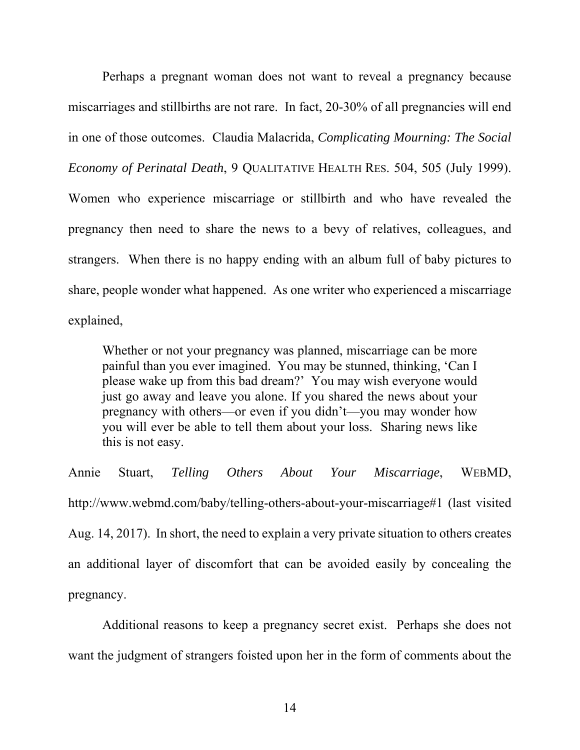Perhaps a pregnant woman does not want to reveal a pregnancy because miscarriages and stillbirths are not rare. In fact, 20-30% of all pregnancies will end in one of those outcomes. Claudia Malacrida, *Complicating Mourning: The Social Economy of Perinatal Death*, 9 QUALITATIVE HEALTH RES. 504, 505 (July 1999). Women who experience miscarriage or stillbirth and who have revealed the pregnancy then need to share the news to a bevy of relatives, colleagues, and strangers. When there is no happy ending with an album full of baby pictures to share, people wonder what happened. As one writer who experienced a miscarriage explained,

Whether or not your pregnancy was planned, miscarriage can be more painful than you ever imagined. You may be stunned, thinking, 'Can I please wake up from this bad dream?' You may wish everyone would just go away and leave you alone. If you shared the news about your pregnancy with others—or even if you didn't—you may wonder how you will ever be able to tell them about your loss. Sharing news like this is not easy.

Annie Stuart, *Telling Others About Your Miscarriage*, WEBMD, http://www.webmd.com/baby/telling-others-about-your-miscarriage#1 (last visited Aug. 14, 2017). In short, the need to explain a very private situation to others creates an additional layer of discomfort that can be avoided easily by concealing the pregnancy.

Additional reasons to keep a pregnancy secret exist. Perhaps she does not want the judgment of strangers foisted upon her in the form of comments about the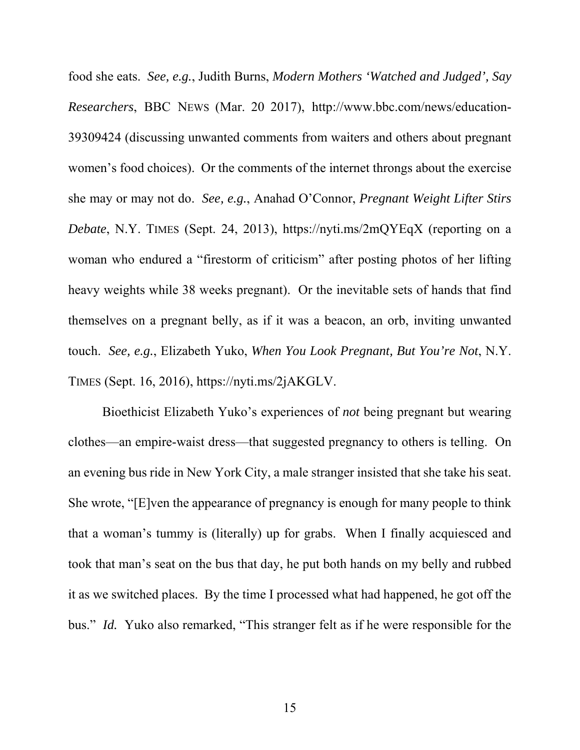food she eats. *See, e.g.*, Judith Burns, *Modern Mothers 'Watched and Judged', Say Researchers*, BBC NEWS (Mar. 20 2017), http://www.bbc.com/news/education-39309424 (discussing unwanted comments from waiters and others about pregnant women's food choices). Or the comments of the internet throngs about the exercise she may or may not do. *See, e.g.*, Anahad O'Connor, *Pregnant Weight Lifter Stirs Debate*, N.Y. TIMES (Sept. 24, 2013), https://nyti.ms/2mQYEqX (reporting on a woman who endured a "firestorm of criticism" after posting photos of her lifting heavy weights while 38 weeks pregnant). Or the inevitable sets of hands that find themselves on a pregnant belly, as if it was a beacon, an orb, inviting unwanted touch. *See, e.g.*, Elizabeth Yuko, *When You Look Pregnant, But You're Not*, N.Y. TIMES (Sept. 16, 2016), https://nyti.ms/2jAKGLV.

Bioethicist Elizabeth Yuko's experiences of *not* being pregnant but wearing clothes—an empire-waist dress—that suggested pregnancy to others is telling. On an evening bus ride in New York City, a male stranger insisted that she take his seat. She wrote, "[E]ven the appearance of pregnancy is enough for many people to think that a woman's tummy is (literally) up for grabs. When I finally acquiesced and took that man's seat on the bus that day, he put both hands on my belly and rubbed it as we switched places. By the time I processed what had happened, he got off the bus." *Id.* Yuko also remarked, "This stranger felt as if he were responsible for the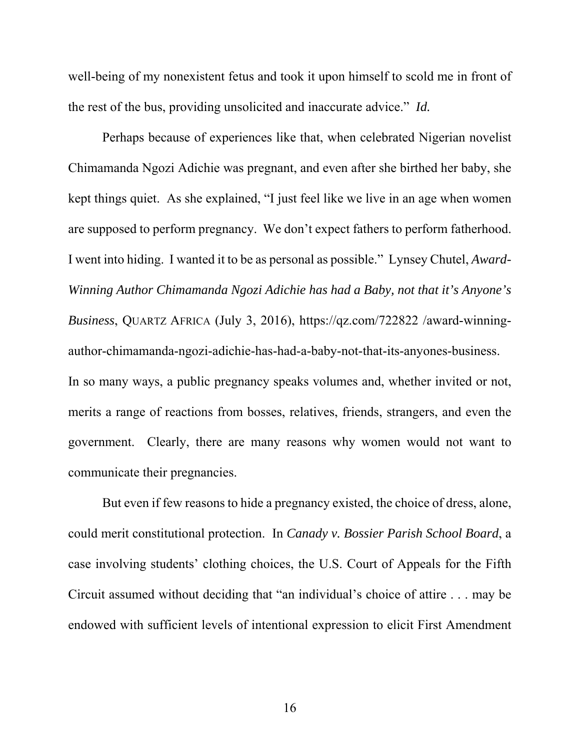well-being of my nonexistent fetus and took it upon himself to scold me in front of the rest of the bus, providing unsolicited and inaccurate advice." *Id.*

Perhaps because of experiences like that, when celebrated Nigerian novelist Chimamanda Ngozi Adichie was pregnant, and even after she birthed her baby, she kept things quiet. As she explained, "I just feel like we live in an age when women are supposed to perform pregnancy. We don't expect fathers to perform fatherhood. I went into hiding. I wanted it to be as personal as possible." Lynsey Chutel, *Award-Winning Author Chimamanda Ngozi Adichie has had a Baby, not that it's Anyone's Business*, QUARTZ AFRICA (July 3, 2016), https://qz.com/722822 /award-winningauthor-chimamanda-ngozi-adichie-has-had-a-baby-not-that-its-anyones-business. In so many ways, a public pregnancy speaks volumes and, whether invited or not, merits a range of reactions from bosses, relatives, friends, strangers, and even the government. Clearly, there are many reasons why women would not want to communicate their pregnancies.

 But even if few reasons to hide a pregnancy existed, the choice of dress, alone, could merit constitutional protection. In *Canady v. Bossier Parish School Board*, a case involving students' clothing choices, the U.S. Court of Appeals for the Fifth Circuit assumed without deciding that "an individual's choice of attire . . . may be endowed with sufficient levels of intentional expression to elicit First Amendment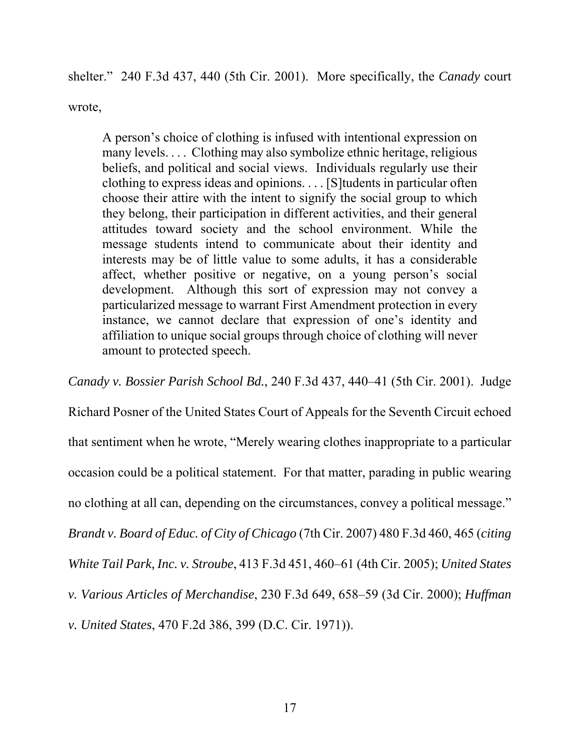shelter." 240 F.3d 437, 440 (5th Cir. 2001). More specifically, the *Canady* court wrote,

A person's choice of clothing is infused with intentional expression on many levels. . . . Clothing may also symbolize ethnic heritage, religious beliefs, and political and social views. Individuals regularly use their clothing to express ideas and opinions. . . . [S]tudents in particular often choose their attire with the intent to signify the social group to which they belong, their participation in different activities, and their general attitudes toward society and the school environment. While the message students intend to communicate about their identity and interests may be of little value to some adults, it has a considerable affect, whether positive or negative, on a young person's social development. Although this sort of expression may not convey a particularized message to warrant First Amendment protection in every instance, we cannot declare that expression of one's identity and affiliation to unique social groups through choice of clothing will never amount to protected speech.

*Canady v. Bossier Parish School Bd.*, 240 F.3d 437, 440–41 (5th Cir. 2001). Judge

Richard Posner of the United States Court of Appeals for the Seventh Circuit echoed that sentiment when he wrote, "Merely wearing clothes inappropriate to a particular occasion could be a political statement. For that matter, parading in public wearing no clothing at all can, depending on the circumstances, convey a political message." *Brandt v. Board of Educ. of City of Chicago* (7th Cir. 2007) 480 F.3d 460, 465 (*citing White Tail Park, Inc. v. Stroube*, 413 F.3d 451, 460–61 (4th Cir. 2005); *United States v. Various Articles of Merchandise*, 230 F.3d 649, 658–59 (3d Cir. 2000); *Huffman v. United States*, 470 F.2d 386, 399 (D.C. Cir. 1971)).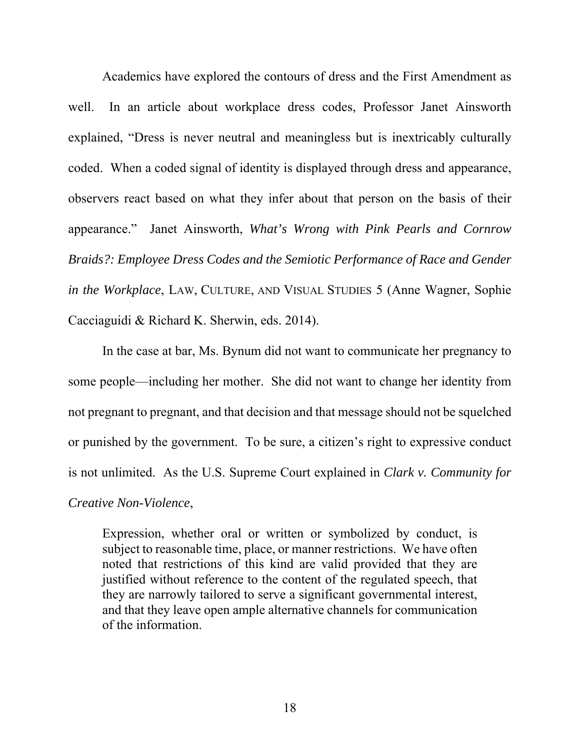Academics have explored the contours of dress and the First Amendment as well. In an article about workplace dress codes, Professor Janet Ainsworth explained, "Dress is never neutral and meaningless but is inextricably culturally coded. When a coded signal of identity is displayed through dress and appearance, observers react based on what they infer about that person on the basis of their appearance." Janet Ainsworth, *What's Wrong with Pink Pearls and Cornrow Braids?: Employee Dress Codes and the Semiotic Performance of Race and Gender in the Workplace*, LAW, CULTURE, AND VISUAL STUDIES 5 (Anne Wagner, Sophie Cacciaguidi & Richard K. Sherwin, eds. 2014).

In the case at bar, Ms. Bynum did not want to communicate her pregnancy to some people—including her mother. She did not want to change her identity from not pregnant to pregnant, and that decision and that message should not be squelched or punished by the government. To be sure, a citizen's right to expressive conduct is not unlimited. As the U.S. Supreme Court explained in *Clark v. Community for Creative Non-Violence*,

Expression, whether oral or written or symbolized by conduct, is subject to reasonable time, place, or manner restrictions. We have often noted that restrictions of this kind are valid provided that they are justified without reference to the content of the regulated speech, that they are narrowly tailored to serve a significant governmental interest, and that they leave open ample alternative channels for communication of the information.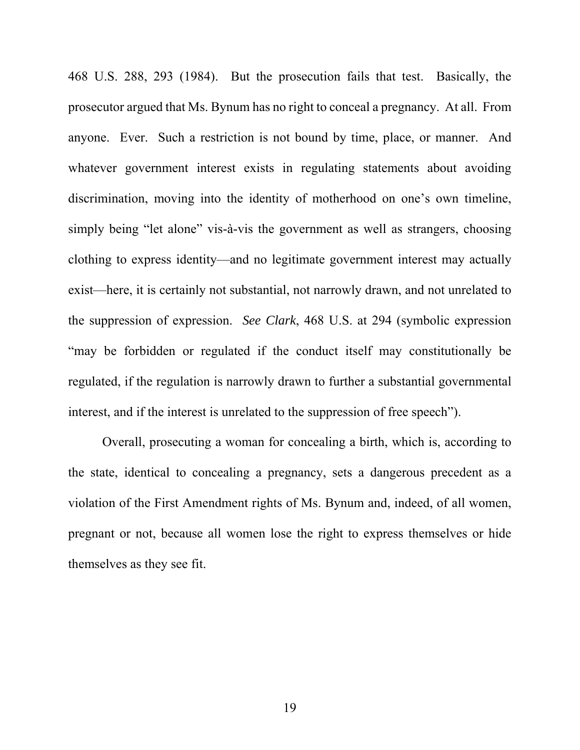468 U.S. 288, 293 (1984). But the prosecution fails that test. Basically, the prosecutor argued that Ms. Bynum has no right to conceal a pregnancy. At all. From anyone. Ever. Such a restriction is not bound by time, place, or manner. And whatever government interest exists in regulating statements about avoiding discrimination, moving into the identity of motherhood on one's own timeline, simply being "let alone" vis-à-vis the government as well as strangers, choosing clothing to express identity—and no legitimate government interest may actually exist—here, it is certainly not substantial, not narrowly drawn, and not unrelated to the suppression of expression. *See Clark*, 468 U.S. at 294 (symbolic expression "may be forbidden or regulated if the conduct itself may constitutionally be regulated, if the regulation is narrowly drawn to further a substantial governmental interest, and if the interest is unrelated to the suppression of free speech").

 Overall, prosecuting a woman for concealing a birth, which is, according to the state, identical to concealing a pregnancy, sets a dangerous precedent as a violation of the First Amendment rights of Ms. Bynum and, indeed, of all women, pregnant or not, because all women lose the right to express themselves or hide themselves as they see fit.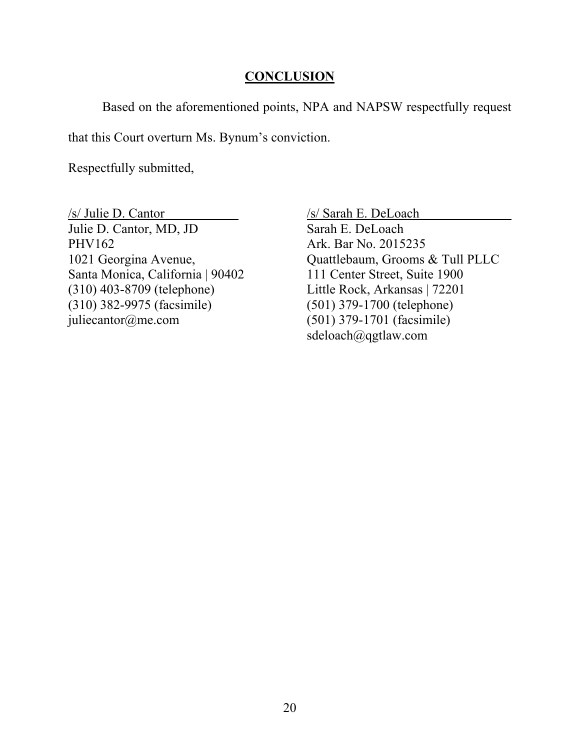## **CONCLUSION**

<span id="page-27-0"></span>Based on the aforementioned points, NPA and NAPSW respectfully request

that this Court overturn Ms. Bynum's conviction.

Respectfully submitted,

/s/ Julie D. Cantor Julie D. Cantor, MD, JD PHV162 1021 Georgina Avenue, Santa Monica, California | 90402 (310) 403-8709 (telephone) (310) 382-9975 (facsimile) juliecantor@me.com

/s/ Sarah E. DeLoach

Sarah E. DeLoach Ark. Bar No. 2015235 Quattlebaum, Grooms & Tull PLLC 111 Center Street, Suite 1900 Little Rock, Arkansas | 72201 (501) 379-1700 (telephone) (501) 379-1701 (facsimile) sdeloach@qgtlaw.com